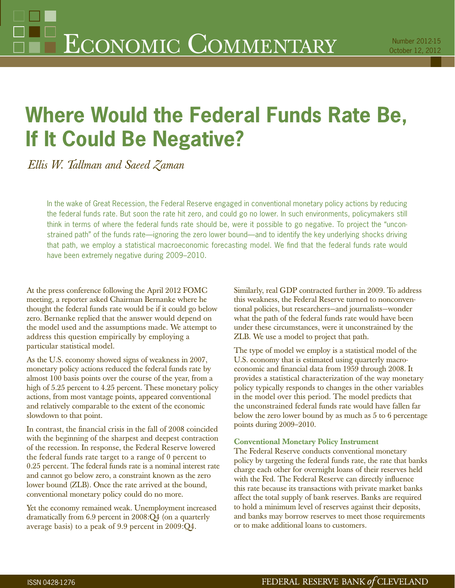# **Where Would the Federal Funds Rate Be, If It Could Be Negative?**

*Ellis W. Tallman and Saeed Zaman*

In the wake of Great Recession, the Federal Reserve engaged in conventional monetary policy actions by reducing the federal funds rate. But soon the rate hit zero, and could go no lower. In such environments, policymakers still think in terms of where the federal funds rate should be, were it possible to go negative. To project the "unconstrained path" of the funds rate—ignoring the zero lower bound—and to identify the key underlying shocks driving that path, we employ a statistical macroeconomic forecasting model. We find that the federal funds rate would have been extremely negative during 2009–2010.

At the press conference following the April 2012 FOMC meeting, a reporter asked Chairman Bernanke where he thought the federal funds rate would be if it could go below zero. Bernanke replied that the answer would depend on the model used and the assumptions made. We attempt to address this question empirically by employing a particular statistical model.

As the U.S. economy showed signs of weakness in 2007, monetary policy actions reduced the federal funds rate by almost 100 basis points over the course of the year, from a high of 5.25 percent to 4.25 percent. These monetary policy actions, from most vantage points, appeared conventional and relatively comparable to the extent of the economic slowdown to that point.

In contrast, the financial crisis in the fall of 2008 coincided with the beginning of the sharpest and deepest contraction of the recession. In response, the Federal Reserve lowered the federal funds rate target to a range of 0 percent to 0.25 percent. The federal funds rate is a nominal interest rate and cannot go below zero, a constraint known as the zero lower bound (ZLB). Once the rate arrived at the bound, conventional monetary policy could do no more.

Yet the economy remained weak. Unemployment increased dramatically from 6.9 percent in 2008:Q4 (on a quarterly average basis) to a peak of 9.9 percent in 2009:Q4.

Similarly, real GDP contracted further in 2009. To address this weakness, the Federal Reserve turned to nonconventional policies, but researchers—and journalists—wonder what the path of the federal funds rate would have been under these circumstances, were it unconstrained by the ZLB. We use a model to project that path.

The type of model we employ is a statistical model of the U.S. economy that is estimated using quarterly macroeconomic and financial data from 1959 through 2008. It provides a statistical characterization of the way monetary policy typically responds to changes in the other variables in the model over this period. The model predicts that the unconstrained federal funds rate would have fallen far below the zero lower bound by as much as 5 to 6 percentage points during 2009–2010.

# **Conventional Monetary Policy Instrument**

The Federal Reserve conducts conventional monetary policy by targeting the federal funds rate, the rate that banks charge each other for overnight loans of their reserves held with the Fed. The Federal Reserve can directly influence this rate because its transactions with private market banks affect the total supply of bank reserves. Banks are required to hold a minimum level of reserves against their deposits, and banks may borrow reserves to meet those requirements or to make additional loans to customers.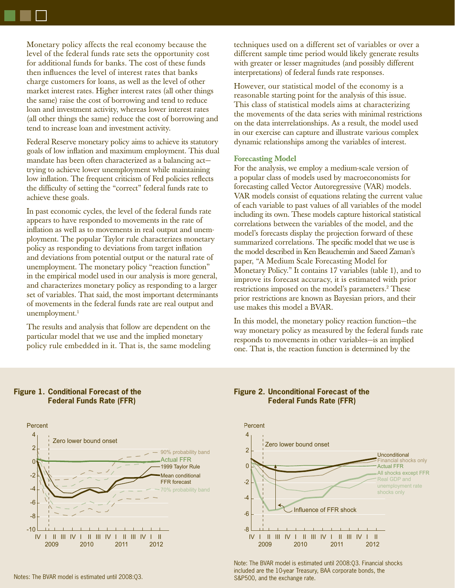Monetary policy affects the real economy because the level of the federal funds rate sets the opportunity cost for additional funds for banks. The cost of these funds then influences the level of interest rates that banks charge customers for loans, as well as the level of other market interest rates. Higher interest rates (all other things the same) raise the cost of borrowing and tend to reduce loan and investment activity, whereas lower interest rates (all other things the same) reduce the cost of borrowing and tend to increase loan and investment activity.

Federal Reserve monetary policy aims to achieve its statutory goals of low inflation and maximum employment. This dual mandate has been often characterized as a balancing act trying to achieve lower unemployment while maintaining low inflation. The frequent criticism of Fed policies reflects the difficulty of setting the "correct" federal funds rate to achieve these goals.

In past economic cycles, the level of the federal funds rate appears to have responded to movements in the rate of inflation as well as to movements in real output and unemployment. The popular Taylor rule characterizes monetary policy as responding to deviations from target inflation and deviations from potential output or the natural rate of unemployment. The monetary policy "reaction function" in the empirical model used in our analysis is more general, and characterizes monetary policy as responding to a larger set of variables. That said, the most important determinants of movements in the federal funds rate are real output and unemployment.<sup>1</sup>

The results and analysis that follow are dependent on the particular model that we use and the implied monetary policy rule embedded in it. That is, the same modeling techniques used on a different set of variables or over a different sample time period would likely generate results with greater or lesser magnitudes (and possibly different interpretations) of federal funds rate responses.

However, our statistical model of the economy is a reasonable starting point for the analysis of this issue. This class of statistical models aims at characterizing the movements of the data series with minimal restrictions on the data interrelationships. As a result, the model used in our exercise can capture and illustrate various complex dynamic relationships among the variables of interest.

#### **Forecasting Model**

For the analysis, we employ a medium-scale version of a popular class of models used by macroeconomists for forecasting called Vector Autoregressive (VAR) models. VAR models consist of equations relating the current value of each variable to past values of all variables of the model including its own. These models capture historical statistical correlations between the variables of the model, and the model's forecasts display the projection forward of these summarized correlations. The specific model that we use is the model described in Ken Beauchemin and Saeed Zaman's paper, "A Medium Scale Forecasting Model for Monetary Policy." It contains 17 variables (table 1), and to improve its forecast accuracy, it is estimated with prior restrictions imposed on the model's parameters.<sup>2</sup> These prior restrictions are known as Bayesian priors, and their use makes this model a BVAR.

In this model, the monetary policy reaction function—the way monetary policy as measured by the federal funds rate responds to movements in other variables—is an implied one. That is, the reaction function is determined by the



## **Figure 1. Conditional Forecast of the Federal Funds Rate (FFR)**

# **Figure 2. Unconditional Forecast of the Federal Funds Rate (FFR)**



Note: The BVAR model is estimated until 2008:Q3. Financial shocks included are the 10-year Treasury, BAA corporate bonds, the S&P500, and the exchange rate.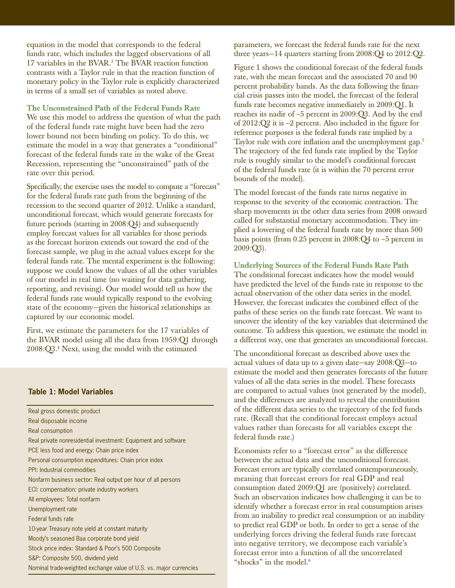equation in the model that corresponds to the federal funds rate, which includes the lagged observations of all 17 variables in the BVAR.<sup>3</sup> The BVAR reaction function contrasts with a Taylor rule in that the reaction function of monetary policy in the Taylor rule is explicitly characterized in terms of a small set of variables as noted above.

**The Unconstrained Path of the Federal Funds Rate**

We use this model to address the question of what the path of the federal funds rate might have been had the zero lower bound not been binding on policy. To do this, we estimate the model in a way that generates a "conditional" forecast of the federal funds rate in the wake of the Great Recession, representing the "unconstrained" path of the rate over this period.

Specifically, the exercise uses the model to compute a "forecast" for the federal funds rate path from the beginning of the recession to the second quarter of 2012. Unlike a standard, unconditional forecast, which would generate forecasts for future periods (starting in 2008:Q4) and subsequently employ forecast values for all variables for those periods as the forecast horizon extends out toward the end of the forecast sample, we plug in the actual values except for the federal funds rate. The mental experiment is the following: suppose we could know the values of all the other variables of our model in real time (no waiting for data gathering, reporting, and revising). Our model would tell us how the federal funds rate would typically respond to the evolving state of the economy—given the historical relationships as captured by our economic model.

First, we estimate the parameters for the 17 variables of the BVAR model using all the data from 1959:Q1 through 2008:Q3.4 Next, using the model with the estimated

#### **Table 1: Model Variables**

Real gross domestic product Real disposable income Real consumption Real private nonresidential investment: Equipment and software PCE less food and energy: Chain price index Personal consumption expenditures: Chain price index PPI: Industrial commodities Nonfarm business sector: Real output per hour of all persons ECI: compensation: private industry workers All employees: Total nonfarm Unemployment rate Federal funds rate 10-year Treasury note yield at constant maturity Moody's seasoned Baa corporate bond yield Stock price index: Standard & Poor's 500 Composite S&P: Composite 500, dividend yield Nominal trade-weighted exchange value of U.S. vs. major currencies parameters, we forecast the federal funds rate for the next three years—14 quarters starting from 2008:Q4 to 2012:Q2.

Figure 1 shows the conditional forecast of the federal funds rate, with the mean forecast and the associated 70 and 90 percent probability bands. As the data following the financial crisis passes into the model, the forecast of the federal funds rate becomes negative immediately in 2009:Q1. It reaches its nadir of –5 percent in 2009:Q3. And by the end of  $2012:Q2$  it is  $-2$  percent. Also included in the figure for reference purposes is the federal funds rate implied by a Taylor rule with core inflation and the unemployment gap.<sup>5</sup> The trajectory of the fed funds rate implied by the Taylor rule is roughly similar to the model's conditional forecast of the federal funds rate (it is within the 70 percent error bounds of the model).

The model forecast of the funds rate turns negative in response to the severity of the economic contraction. The sharp movements in the other data series from 2008 onward called for substantial monetary accommodation. They implied a lowering of the federal funds rate by more than 500 basis points (from 0.25 percent in 2008:Q4 to –5 percent in  $2009:Q3$ ).

**Underlying Sources of the Federal Funds Rate Path** The conditional forecast indicates how the model would have predicted the level of the funds rate in response to the actual observation of the other data series in the model. However, the forecast indicates the combined effect of the paths of these series on the funds rate forecast. We want to uncover the identity of the key variables that determined the outcome. To address this question, we estimate the model in a different way, one that generates an unconditional forecast.

The unconditional forecast as described above uses the actual values of data up to a given date—say 2008:Q3—to estimate the model and then generates forecasts of the future values of all the data series in the model. These forecasts are compared to actual values (not generated by the model), and the differences are analyzed to reveal the contribution of the different data series to the trajectory of the fed funds rate. (Recall that the conditional forecast employs actual values rather than forecasts for all variables except the federal funds rate.)

Economists refer to a "forecast error" as the difference between the actual data and the unconditional forecast. Forecast errors are typically correlated contemporaneously, meaning that forecast errors for real GDP and real consumption dated 2009:Q1 are (positively) correlated. Such an observation indicates how challenging it can be to identify whether a forecast error in real consumption arises from an inability to predict real consumption or an inability to predict real GDP or both. In order to get a sense of the underlying forces driving the federal funds rate forecast into negative territory, we decompose each variable's forecast error into a function of all the uncorrelated "shocks" in the model.<sup>6</sup>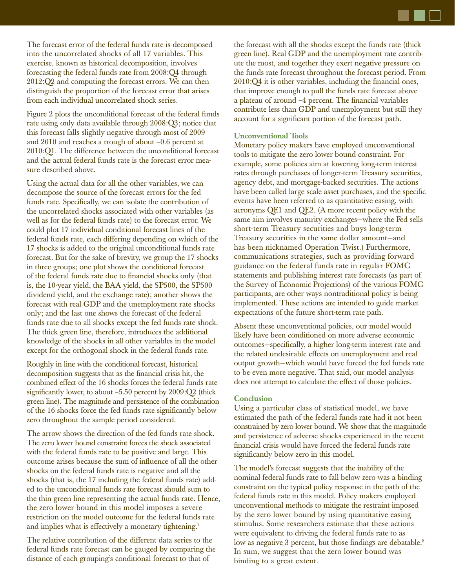The forecast error of the federal funds rate is decomposed into the uncorrelated shocks of all 17 variables. This exercise, known as historical decomposition, involves forecasting the federal funds rate from 2008:Q4 through 2012:Q2 and computing the forecast errors. We can then distinguish the proportion of the forecast error that arises from each individual uncorrelated shock series.

Figure 2 plots the unconditional forecast of the federal funds rate using only data available through 2008:Q3; notice that this forecast falls slightly negative through most of 2009 and 2010 and reaches a trough of about –0.6 percent at 2010:Q1. The difference between the unconditional forecast and the actual federal funds rate is the forecast error measure described above.

Using the actual data for all the other variables, we can decompose the source of the forecast errors for the fed funds rate. Specifically, we can isolate the contribution of the uncorrelated shocks associated with other variables (as well as for the federal funds rate) to the forecast error. We could plot 17 individual conditional forecast lines of the federal funds rate, each differing depending on which of the 17 shocks is added to the original unconditional funds rate forecast. But for the sake of brevity, we group the 17 shocks in three groups; one plot shows the conditional forecast of the federal funds rate due to financial shocks only (that is, the 10-year yield, the BAA yield, the SP500, the SP500 dividend yield, and the exchange rate); another shows the forecast with real GDP and the unemployment rate shocks only; and the last one shows the forecast of the federal funds rate due to all shocks except the fed funds rate shock. The thick green line, therefore, introduces the additional knowledge of the shocks in all other variables in the model except for the orthogonal shock in the federal funds rate.

Roughly in line with the conditional forecast, historical decomposition suggests that as the financial crisis hit, the combined effect of the 16 shocks forces the federal funds rate significantly lower, to about  $-5.50$  percent by  $2009:Q2$  (thick green line). The magnitude and persistence of the combination of the 16 shocks force the fed funds rate significantly below zero throughout the sample period considered.

The arrow shows the direction of the fed funds rate shock. The zero lower bound constraint forces the shock associated with the federal funds rate to be positive and large. This outcome arises because the sum of influence of all the other shocks on the federal funds rate is negative and all the shocks (that is, the 17 including the federal funds rate) added to the unconditional funds rate forecast should sum to the thin green line representing the actual funds rate. Hence, the zero lower bound in this model imposes a severe restriction on the model outcome for the federal funds rate and implies what is effectively a monetary tightening.<sup>7</sup>

The relative contribution of the different data series to the federal funds rate forecast can be gauged by comparing the distance of each grouping's conditional forecast to that of

the forecast with all the shocks except the funds rate (thick green line). Real GDP and the unemployment rate contribute the most, and together they exert negative pressure on the funds rate forecast throughout the forecast period. From  $2010:Q<sub>4</sub>$  it is other variables, including the financial ones, that improve enough to pull the funds rate forecast above a plateau of around -4 percent. The financial variables contribute less than GDP and unemployment but still they account for a significant portion of the forecast path.

## **Unconventional Tools**

Monetary policy makers have employed unconventional tools to mitigate the zero lower bound constraint. For example, some policies aim at lowering long-term interest rates through purchases of longer-term Treasury securities, agency debt, and mortgage-backed securities. The actions have been called large scale asset purchases, and the specific events have been referred to as quantitative easing, with acronyms QE1 and QE2. (A more recent policy with the same aim involves maturity exchanges—where the Fed sells short-term Treasury securities and buys long-term Treasury securities in the same dollar amount—and has been nicknamed Operation Twist.) Furthermore, communications strategies, such as providing forward guidance on the federal funds rate in regular FOMC statements and publishing interest rate forecasts (as part of the Survey of Economic Projections) of the various FOMC participants, are other ways nontraditional policy is being implemented. These actions are intended to guide market expectations of the future short-term rate path.

Absent these unconventional policies, our model would likely have been conditioned on more adverse economic outcomes-specifically, a higher long-term interest rate and the related undesirable effects on unemployment and real output growth—which would have forced the fed funds rate to be even more negative. That said, our model analysis does not attempt to calculate the effect of those policies.

#### **Conclusion**

Using a particular class of statistical model, we have estimated the path of the federal funds rate had it not been constrained by zero lower bound. We show that the magnitude and persistence of adverse shocks experienced in the recent financial crisis would have forced the federal funds rate significantly below zero in this model.

The model's forecast suggests that the inability of the nominal federal funds rate to fall below zero was a binding constraint on the typical policy response in the path of the federal funds rate in this model. Policy makers employed unconventional methods to mitigate the restraint imposed by the zero lower bound by using quantitative easing stimulus. Some researchers estimate that these actions were equivalent to driving the federal funds rate to as low as negative 3 percent, but those findings are debatable.<sup>8</sup> In sum, we suggest that the zero lower bound was binding to a great extent.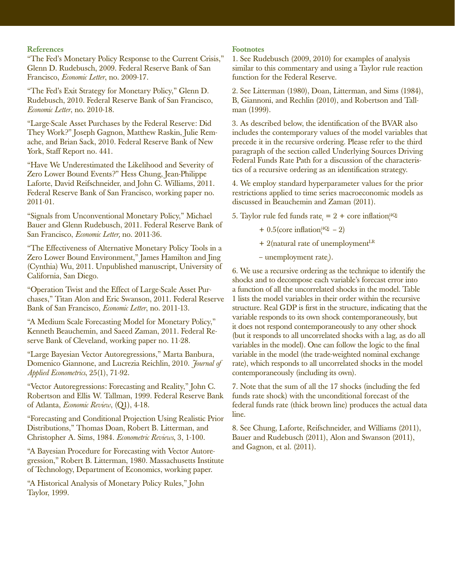## **References**

"The Fed's Monetary Policy Response to the Current Crisis," Glenn D. Rudebusch, 2009. Federal Reserve Bank of San Francisco, *Economic Letter*, no. 2009-17.

"The Fed's Exit Strategy for Monetary Policy," Glenn D. Rudebusch, 2010. Federal Reserve Bank of San Francisco, *Economic Letter*, no. 2010-18.

"Large-Scale Asset Purchases by the Federal Reserve: Did They Work?" Joseph Gagnon, Matthew Raskin, Julie Remache, and Brian Sack, 2010. Federal Reserve Bank of New York, Staff Report no. 441.

"Have We Underestimated the Likelihood and Severity of Zero Lower Bound Events?" Hess Chung, Jean-Philippe Laforte, David Reifschneider, and John C. Williams, 2011. Federal Reserve Bank of San Francisco, working paper no. 2011-01.

"Signals from Unconventional Monetary Policy," Michael Bauer and Glenn Rudebusch, 2011. Federal Reserve Bank of San Francisco, *Economic Letter,* no. 2011-36.

"The Effectiveness of Alternative Monetary Policy Tools in a Zero Lower Bound Environment," James Hamilton and Jing (Cynthia) Wu, 2011. Unpublished manuscript, University of California, San Diego.

"Operation Twist and the Effect of Large-Scale Asset Purchases," Titan Alon and Eric Swanson, 2011. Federal Reserve Bank of San Francisco, *Economic Letter*, no. 2011-13.

"A Medium Scale Forecasting Model for Monetary Policy," Kenneth Beauchemin, and Saeed Zaman, 2011. Federal Reserve Bank of Cleveland, working paper no. 11-28.

"Large Bayesian Vector Autoregressions," Marta Banbura, Domenico Giannone, and Lucrezia Reichlin, 2010. *Journal of Applied Econometrics*, 25(1), 71-92.

"Vector Autoregressions: Forecasting and Reality," John C. Robertson and Ellis W. Tallman, 1999. Federal Reserve Bank of Atlanta, *Economic Review*, (Q1), 4-18.

"Forecasting and Conditional Projection Using Realistic Prior Distributions," Thomas Doan, Robert B. Litterman, and Christopher A. Sims, 1984. *Econometric Reviews*, 3, 1-100.

"A Bayesian Procedure for Forecasting with Vector Autoregression," Robert B. Litterman, 1980. Massachusetts Institute of Technology, Department of Economics, working paper.

"A Historical Analysis of Monetary Policy Rules," John Taylor, 1999.

#### **Footnotes**

1. See Rudebusch (2009, 2010) for examples of analysis similar to this commentary and using a Taylor rule reaction function for the Federal Reserve.

2. See Litterman (1980), Doan, Litterman, and Sims (1984), B, Giannoni, and Rechlin (2010), and Robertson and Tallman (1999).

3. As described below, the identification of the BVAR also includes the contemporary values of the model variables that precede it in the recursive ordering. Please refer to the third paragraph of the section called Underlying Sources Driving Federal Funds Rate Path for a discussion of the characteristics of a recursive ordering as an identification strategy.

4. We employ standard hyperparameter values for the prior restrictions applied to time series macroeconomic models as discussed in Beauchemin and Zaman (2011).

5. Taylor rule fed funds rate<sub>t</sub> = 2 + core inflation<sup>(4Q)</sup>

+  $0.5$  (core inflation<sup> $(4Q)$ </sup> – 2)

 $+ 2$ (natural rate of unemployment<sup>LR</sup>

 $-$  unemployment rate<sub> $i$ </sub>).

6. We use a recursive ordering as the technique to identify the shocks and to decompose each variable's forecast error into a function of all the uncorrelated shocks in the model. Table 1 lists the model variables in their order within the recursive structure. Real GDP is first in the structure, indicating that the variable responds to its own shock contemporaneously, but it does not respond contemporaneously to any other shock (but it responds to all uncorrelated shocks with a lag, as do all variables in the model). One can follow the logic to the final variable in the model (the trade-weighted nominal exchange rate), which responds to all uncorrelated shocks in the model contemporaneously (including its own).

7. Note that the sum of all the 17 shocks (including the fed funds rate shock) with the unconditional forecast of the federal funds rate (thick brown line) produces the actual data line.

8. See Chung, Laforte, Reifschneider, and Williams (2011), Bauer and Rudebusch (2011), Alon and Swanson (2011), and Gagnon, et al. (2011).